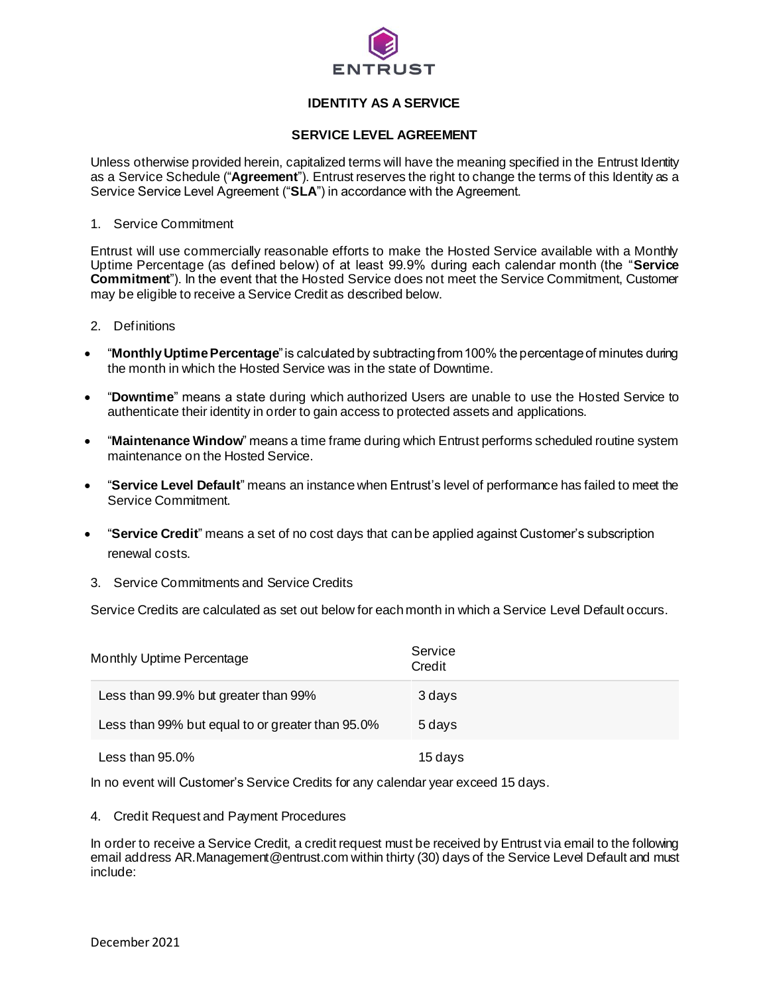

## **IDENTITY AS A SERVICE**

## **SERVICE LEVEL AGREEMENT**

Unless otherwise provided herein, capitalized terms will have the meaning specified in the Entrust Identity as a Service Schedule ("**Agreement**"). Entrust reserves the right to change the terms of this Identity as a Service Service Level Agreement ("**SLA**") in accordance with the Agreement.

1. Service Commitment

Entrust will use commercially reasonable efforts to make the Hosted Service available with a Monthly Uptime Percentage (as defined below) of at least 99.9% during each calendar month (the "**Service Commitment**"). In the event that the Hosted Service does not meet the Service Commitment, Customer may be eligible to receive a Service Credit as described below.

- 2. Definitions
- "**Monthly Uptime Percentage**" is calculated by subtracting from 100% the percentage of minutes during the month in which the Hosted Service was in the state of Downtime.
- "**Downtime**" means a state during which authorized Users are unable to use the Hosted Service to authenticate their identity in order to gain access to protected assets and applications.
- "**Maintenance Window**" means a time frame during which Entrust performs scheduled routine system maintenance on the Hosted Service.
- "**Service Level Default**" means an instance when Entrust's level of performance has failed to meet the Service Commitment.
- "**Service Credit**" means a set of no cost days that can be applied against Customer's subscription renewal costs.
- 3. Service Commitments and Service Credits

Service Credits are calculated as set out below for each month in which a Service Level Default occurs.

| Monthly Uptime Percentage                        | Service<br>Credit |
|--------------------------------------------------|-------------------|
| Less than 99.9% but greater than 99%             | 3 davs            |
| Less than 99% but equal to or greater than 95.0% | 5 davs            |
| Less than 95.0%                                  | 15 days           |

In no event will Customer's Service Credits for any calendar year exceed 15 days.

4. Credit Request and Payment Procedures

In order to receive a Service Credit, a credit request must be received by Entrust via email to the following email address AR.Management@entrust.com within thirty (30) days of the Service Level Default and must include: